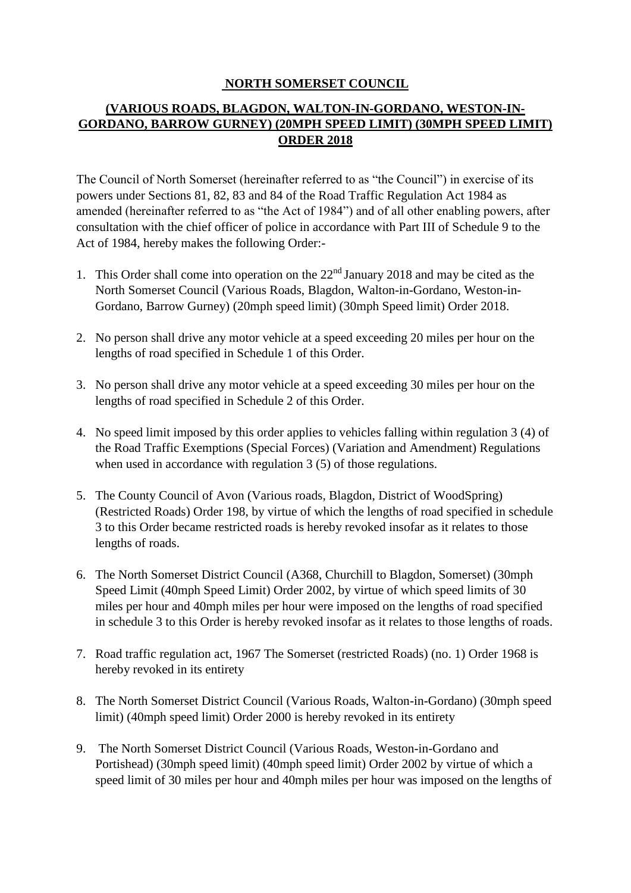### **NORTH SOMERSET COUNCIL**

### **(VARIOUS ROADS, BLAGDON, WALTON-IN-GORDANO, WESTON-IN-GORDANO, BARROW GURNEY) (20MPH SPEED LIMIT) (30MPH SPEED LIMIT) ORDER 2018**

The Council of North Somerset (hereinafter referred to as "the Council") in exercise of its powers under Sections 81, 82, 83 and 84 of the Road Traffic Regulation Act 1984 as amended (hereinafter referred to as "the Act of 1984") and of all other enabling powers, after consultation with the chief officer of police in accordance with Part III of Schedule 9 to the Act of 1984, hereby makes the following Order:-

- 1. This Order shall come into operation on the  $22<sup>nd</sup>$  January 2018 and may be cited as the North Somerset Council (Various Roads, Blagdon, Walton-in-Gordano, Weston-in-Gordano, Barrow Gurney) (20mph speed limit) (30mph Speed limit) Order 2018.
- 2. No person shall drive any motor vehicle at a speed exceeding 20 miles per hour on the lengths of road specified in Schedule 1 of this Order.
- 3. No person shall drive any motor vehicle at a speed exceeding 30 miles per hour on the lengths of road specified in Schedule 2 of this Order.
- 4. No speed limit imposed by this order applies to vehicles falling within regulation 3 (4) of the Road Traffic Exemptions (Special Forces) (Variation and Amendment) Regulations when used in accordance with regulation 3 (5) of those regulations.
- 5. The County Council of Avon (Various roads, Blagdon, District of WoodSpring) (Restricted Roads) Order 198, by virtue of which the lengths of road specified in schedule 3 to this Order became restricted roads is hereby revoked insofar as it relates to those lengths of roads.
- 6. The North Somerset District Council (A368, Churchill to Blagdon, Somerset) (30mph Speed Limit (40mph Speed Limit) Order 2002, by virtue of which speed limits of 30 miles per hour and 40mph miles per hour were imposed on the lengths of road specified in schedule 3 to this Order is hereby revoked insofar as it relates to those lengths of roads.
- 7. Road traffic regulation act, 1967 The Somerset (restricted Roads) (no. 1) Order 1968 is hereby revoked in its entirety
- 8. The North Somerset District Council (Various Roads, Walton-in-Gordano) (30mph speed limit) (40mph speed limit) Order 2000 is hereby revoked in its entirety
- 9. The North Somerset District Council (Various Roads, Weston-in-Gordano and Portishead) (30mph speed limit) (40mph speed limit) Order 2002 by virtue of which a speed limit of 30 miles per hour and 40mph miles per hour was imposed on the lengths of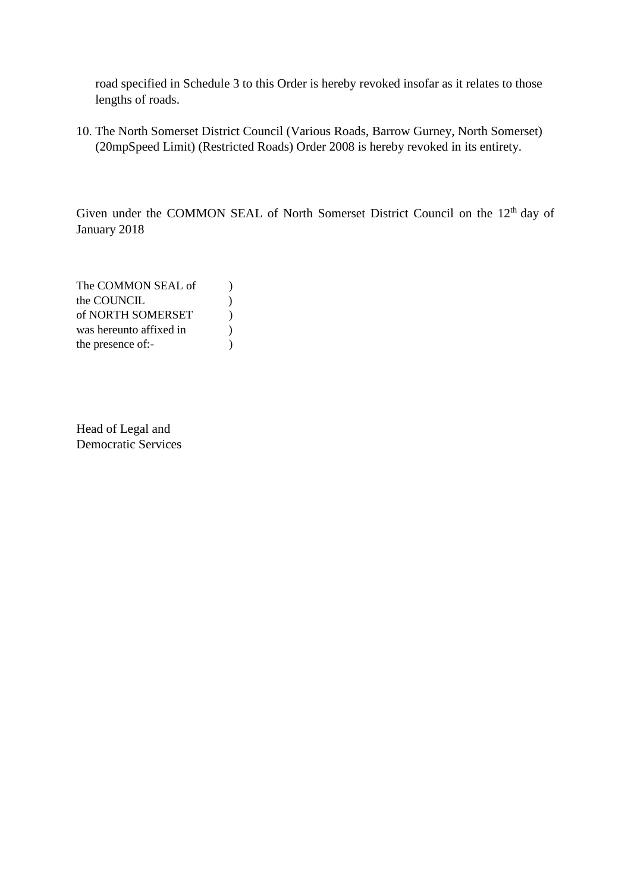road specified in Schedule 3 to this Order is hereby revoked insofar as it relates to those lengths of roads.

10. The North Somerset District Council (Various Roads, Barrow Gurney, North Somerset) (20mpSpeed Limit) (Restricted Roads) Order 2008 is hereby revoked in its entirety.

Given under the COMMON SEAL of North Somerset District Council on the 12<sup>th</sup> day of January 2018

The COMMON SEAL of  $)$ the COUNCIL (1) of NORTH SOMERSET ) was hereunto affixed in  $\qquad$ ) the presence of:-

Head of Legal and Democratic Services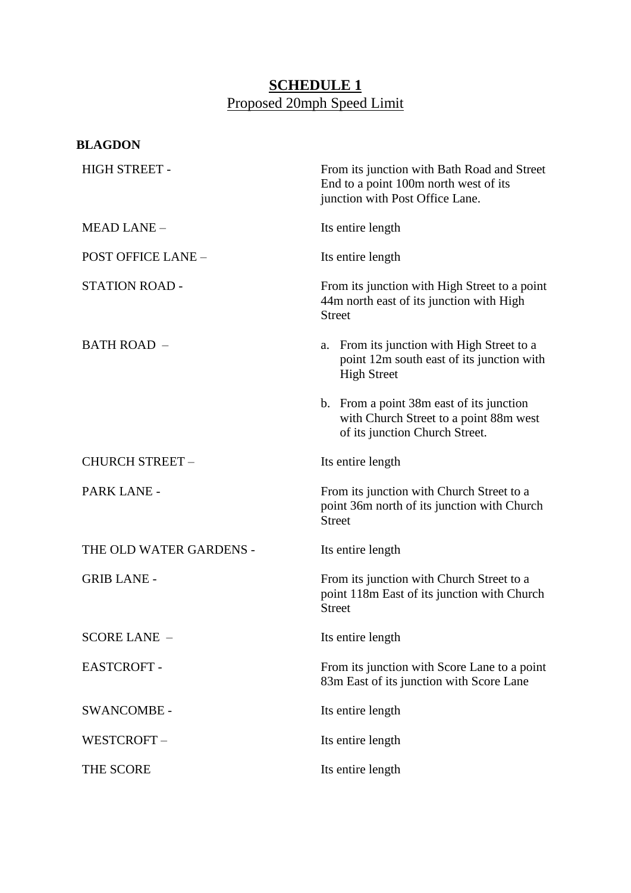# **SCHEDULE 1** Proposed 20mph Speed Limit

| <b>BLAGDON</b>            |                                                                                                                         |
|---------------------------|-------------------------------------------------------------------------------------------------------------------------|
| <b>HIGH STREET -</b>      | From its junction with Bath Road and Street<br>End to a point 100m north west of its<br>junction with Post Office Lane. |
| <b>MEAD LANE -</b>        | Its entire length                                                                                                       |
| <b>POST OFFICE LANE -</b> | Its entire length                                                                                                       |
| <b>STATION ROAD -</b>     | From its junction with High Street to a point<br>44m north east of its junction with High<br><b>Street</b>              |
| <b>BATH ROAD -</b>        | a. From its junction with High Street to a<br>point 12m south east of its junction with<br><b>High Street</b>           |
|                           | b. From a point 38m east of its junction<br>with Church Street to a point 88m west<br>of its junction Church Street.    |
| <b>CHURCH STREET -</b>    | Its entire length                                                                                                       |
| PARK LANE -               | From its junction with Church Street to a<br>point 36m north of its junction with Church<br><b>Street</b>               |
| THE OLD WATER GARDENS -   | Its entire length                                                                                                       |
| <b>GRIB LANE -</b>        | From its junction with Church Street to a<br>point 118m East of its junction with Church<br><b>Street</b>               |
| <b>SCORE LANE -</b>       | Its entire length                                                                                                       |
| <b>EASTCROFT-</b>         | From its junction with Score Lane to a point<br>83m East of its junction with Score Lane                                |
| <b>SWANCOMBE-</b>         | Its entire length                                                                                                       |
| WESTCROFT-                | Its entire length                                                                                                       |
| THE SCORE                 | Its entire length                                                                                                       |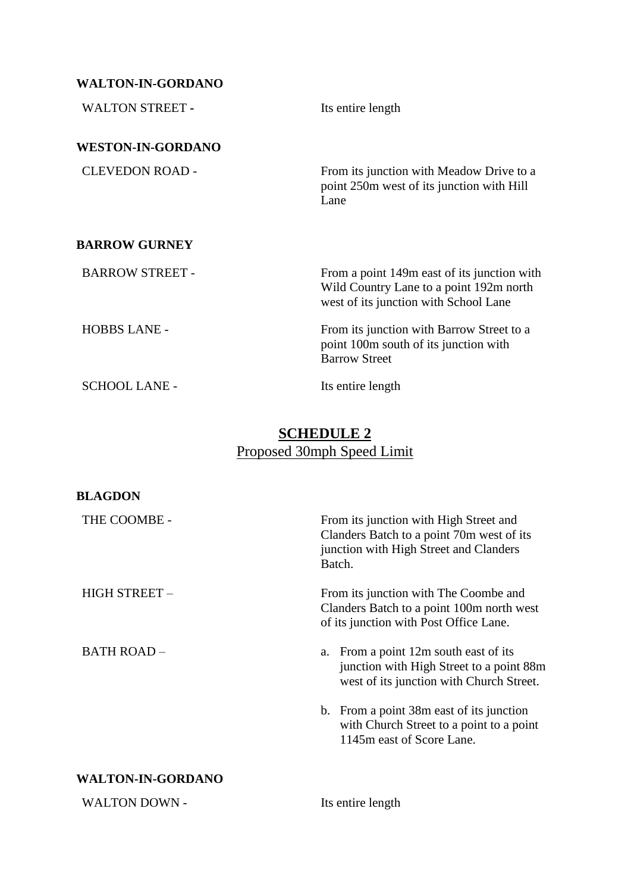## **WALTON-IN-GORDANO**

| <b>WALTON STREET -</b>   | Its entire length                                                                                                               |
|--------------------------|---------------------------------------------------------------------------------------------------------------------------------|
| <b>WESTON-IN-GORDANO</b> |                                                                                                                                 |
| <b>CLEVEDON ROAD -</b>   | From its junction with Meadow Drive to a<br>point 250m west of its junction with Hill<br>Lane                                   |
| <b>BARROW GURNEY</b>     |                                                                                                                                 |
| <b>BARROW STREET -</b>   | From a point 149m east of its junction with<br>Wild Country Lane to a point 192m north<br>west of its junction with School Lane |
| <b>HOBBS LANE -</b>      | From its junction with Barrow Street to a<br>point 100m south of its junction with<br><b>Barrow Street</b>                      |
| <b>SCHOOL LANE -</b>     | Its entire length                                                                                                               |

# **SCHEDULE 2**  Proposed 30mph Speed Limit

| <b>BLAGDON</b>           |                                                                                                                                         |
|--------------------------|-----------------------------------------------------------------------------------------------------------------------------------------|
| THE COOMBE -             | From its junction with High Street and<br>Clanders Batch to a point 70m west of its<br>junction with High Street and Clanders<br>Batch. |
| HIGH STREET -            | From its junction with The Coombe and<br>Clanders Batch to a point 100m north west<br>of its junction with Post Office Lane.            |
| <b>BATH ROAD -</b>       | a. From a point 12m south east of its<br>junction with High Street to a point 88m<br>west of its junction with Church Street.           |
|                          | b. From a point 38m east of its junction<br>with Church Street to a point to a point<br>1145m east of Score Lane.                       |
| <b>WALTON-IN-GORDANO</b> |                                                                                                                                         |
| <b>WALTON DOWN -</b>     | Its entire length                                                                                                                       |